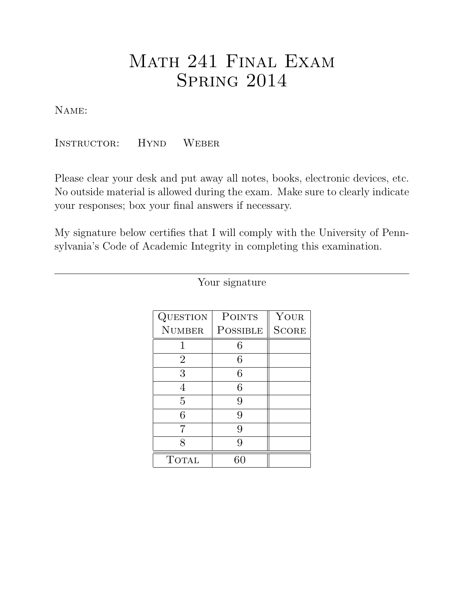# Math 241 Final Exam **SPRING 2014**

Name:

Instructor: Hynd Weber

Please clear your desk and put away all notes, books, electronic devices, etc. No outside material is allowed during the exam. Make sure to clearly indicate your responses; box your final answers if necessary.

My signature below certifies that I will comply with the University of Pennsylvania's Code of Academic Integrity in completing this examination.

| QUESTION       | <b>POINTS</b> | YOUR         |  |
|----------------|---------------|--------------|--|
| <b>NUMBER</b>  | POSSIBLE      | <b>SCORE</b> |  |
| 1              | 6             |              |  |
| $\overline{2}$ | 6             |              |  |
| 3              | 6             |              |  |
| 4              | 6             |              |  |
| 5              | 9             |              |  |
| 6              | 9             |              |  |
| 7              | 9             |              |  |
| R              | Q             |              |  |
| <b>TOTAL</b>   |               |              |  |

Your signature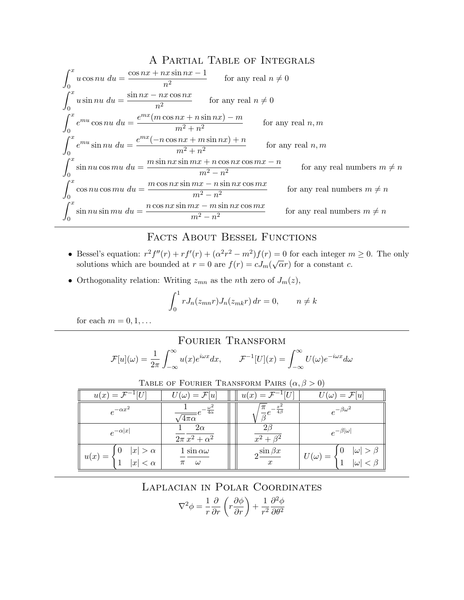### A Partial Table of Integrals

$$
\int_{0}^{x} u \cos nu \, du = \frac{\cos nx + nx \sin nx - 1}{n^{2}} \qquad \text{for any real } n \neq 0
$$
  

$$
\int_{0}^{x} u \sin nu \, du = \frac{\sin nx - nx \cos nx}{n^{2}} \qquad \text{for any real } n \neq 0
$$
  

$$
\int_{0}^{x} e^{mu} \cos nu \, du = \frac{e^{mx} (m \cos nx + n \sin nx) - m}{m^{2} + n^{2}} \qquad \text{for any real } n, m
$$
  

$$
\int_{0}^{x} e^{mu} \sin nu \, du = \frac{e^{mx} (-n \cos nx + m \sin nx) + n}{m^{2} + n^{2}} \qquad \text{for any real } n, m
$$
  

$$
\int_{0}^{x} \sin nu \cos mu \, du = \frac{m \sin nx \sin mx + n \cos nx \cos mx - n}{m^{2} - n^{2}} \qquad \text{for any real numbers } m \neq n
$$
  

$$
\int_{0}^{x} \cos nu \cos mu \, du = \frac{m \cos nx \sin mx - n \sin nx \cos mx}{m^{2} - n^{2}} \qquad \text{for any real numbers } m \neq n
$$
  

$$
\int_{0}^{x} \sin nu \sin mu \, du = \frac{n \cos nx \sin mx - m \sin nx \cos mx}{m^{2} - n^{2}} \qquad \text{for any real numbers } m \neq n
$$

## FACTS ABOUT BESSEL FUNCTIONS

- Bessel's equation:  $r^2 f''(r) + r f'(r) + (\alpha^2 r^2 m^2) f(r) = 0$  for each integer  $m \geq 0$ . The only besset s equation.  $\tau$   $f(\tau) + \tau f(\tau) + (\alpha \tau - m) f(\tau) = 0$  for each integer *n* solutions which are bounded at  $r = 0$  are  $f(r) = cJ_m(\sqrt{\alpha}r)$  for a constant *c*.
- Orthogonality relation: Writing  $z_{mn}$  as the *n*th zero of  $J_m(z)$ ,

$$
\int_0^1 r J_n(z_{mn}r) J_n(z_{mk}r) dr = 0, \qquad n \neq k
$$

for each  $m = 0, 1, \ldots$ 

### Fourier Transform

$$
\mathcal{F}[u](\omega) = \frac{1}{2\pi} \int_{-\infty}^{\infty} u(x)e^{i\omega x} dx, \qquad \mathcal{F}^{-1}[U](x) = \int_{-\infty}^{\infty} U(\omega)e^{-i\omega x} d\omega
$$

| u(x)<br>$=$                                                | $U(\omega) = \mathcal{F}[u]$            |  | $u(x) =$                                      | $=\mathcal{F}[u]$<br>$\omega$                          |  |
|------------------------------------------------------------|-----------------------------------------|--|-----------------------------------------------|--------------------------------------------------------|--|
| $e^{-\alpha x^2}$                                          | $\sqrt{4\alpha}$<br>$\sqrt{4\pi\alpha}$ |  | $-\frac{x^2}{4\beta}$<br>$\overline{\beta}^e$ | $e^{-\beta\omega^2}$                                   |  |
| $e^{-\alpha x }$                                           | $2\alpha$<br>$2\pi x^2 + \alpha^2$      |  | $x^2+\beta^2$                                 | $e^{-\beta  \omega }$                                  |  |
| $ x  > \alpha$<br>O<br>$u(x) =$<br> x <br>$\langle \alpha$ | 1 sin $\alpha\omega$<br>$\omega$<br>π   |  | $2^{\sin \beta x}$<br>$\boldsymbol{x}$        | $ \omega >$<br>$\theta$<br>$U(\omega) =$<br>$ \omega $ |  |

TABLE OF FOURIER TRANSFORM PAIRS  $(\alpha, \beta > 0)$ 

## Laplacian in Polar Coordinates

$$
\nabla^2 \phi = \frac{1}{r} \frac{\partial}{\partial r} \left( r \frac{\partial \phi}{\partial r} \right) + \frac{1}{r^2} \frac{\partial^2 \phi}{\partial \theta^2}
$$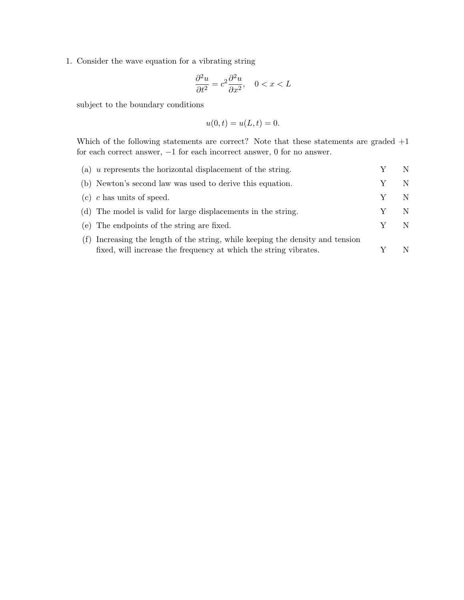1. Consider the wave equation for a vibrating string

$$
\frac{\partial^2 u}{\partial t^2} = c^2 \frac{\partial^2 u}{\partial x^2}, \quad 0 < x < L
$$

subject to the boundary conditions

$$
u(0,t) = u(L,t) = 0.
$$

Which of the following statements are correct? Note that these statements are graded +1 for each correct answer,  $-1$  for each incorrect answer,  $0$  for no answer.

| (a) $u$ represents the horizontal displacement of the string.                  |   |
|--------------------------------------------------------------------------------|---|
| (b) Newton's second law was used to derive this equation.                      | N |
| (c) c has units of speed.                                                      | N |
| (d) The model is valid for large displacements in the string.                  | N |
| (e) The endpoints of the string are fixed.                                     | N |
| (f) Increasing the length of the string, while keeping the density and tension |   |
| fixed, will increase the frequency at which the string vibrates.               |   |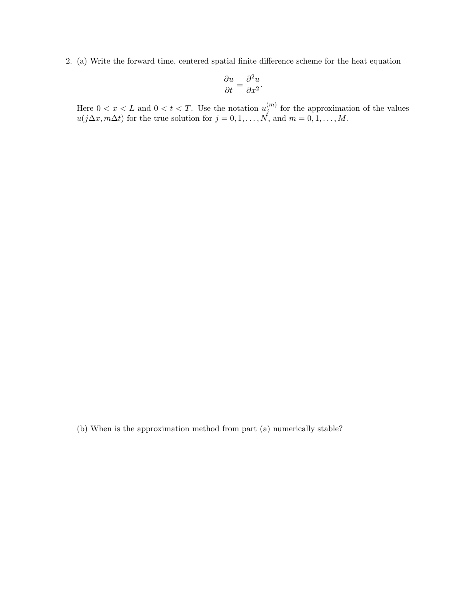2. (a) Write the forward time, centered spatial finite difference scheme for the heat equation

$$
\frac{\partial u}{\partial t} = \frac{\partial^2 u}{\partial x^2}.
$$

Here  $0 < x < L$  and  $0 < t < T$ . Use the notation  $u_i^{(m)}$  $j^{(m)}$  for the approximation of the values  $u(j\Delta x, m\Delta t)$  for the true solution for  $j = 0, 1, ..., N$ , and  $m = 0, 1, ..., M$ .

(b) When is the approximation method from part (a) numerically stable?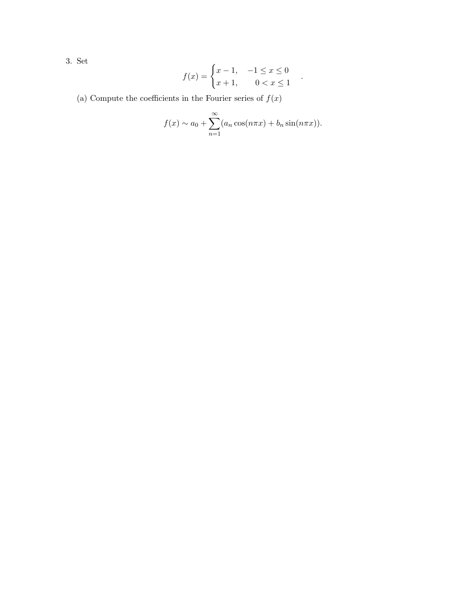3. Set

$$
f(x) = \begin{cases} x - 1, & -1 \le x \le 0 \\ x + 1, & 0 < x \le 1 \end{cases}
$$

(a) Compute the coefficients in the Fourier series of  $f(\boldsymbol{x})$ 

$$
f(x) \sim a_0 + \sum_{n=1}^{\infty} (a_n \cos(n\pi x) + b_n \sin(n\pi x)).
$$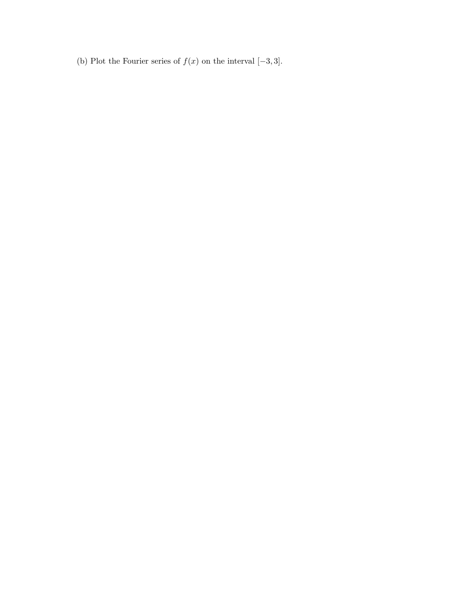(b) Plot the Fourier series of  $f(x)$  on the interval  $[-3, 3]$ .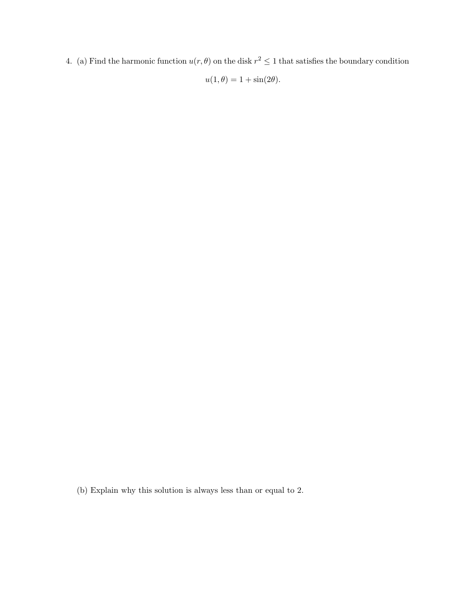4. (a) Find the harmonic function  $u(r, \theta)$  on the disk  $r^2 \leq 1$  that satisfies the boundary condition

 $u(1, \theta) = 1 + \sin(2\theta).$ 

(b) Explain why this solution is always less than or equal to 2.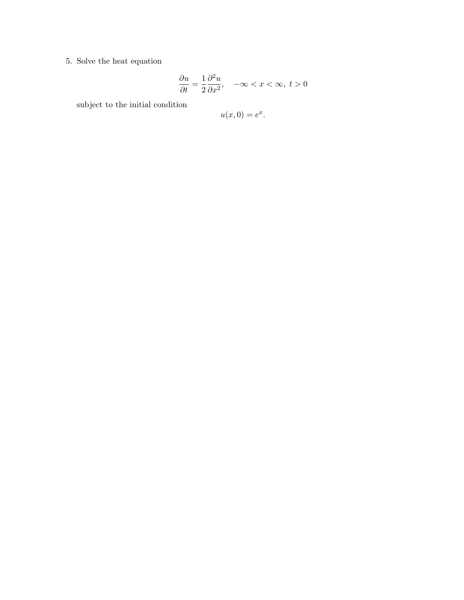5. Solve the heat equation

$$
\frac{\partial u}{\partial t} = \frac{1}{2} \frac{\partial^2 u}{\partial x^2}, \quad -\infty < x < \infty, \ t > 0
$$

subject to the initial condition

$$
u(x,0) = e^x.
$$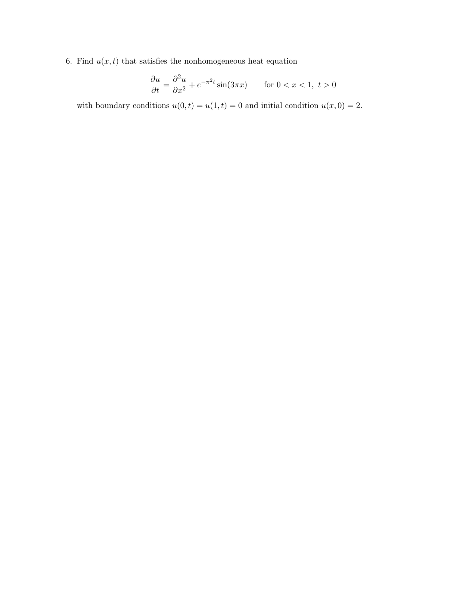6. Find  $u(x, t)$  that satisfies the nonhomogeneous heat equation

$$
\frac{\partial u}{\partial t} = \frac{\partial^2 u}{\partial x^2} + e^{-\pi^2 t} \sin(3\pi x) \qquad \text{for } 0 < x < 1, \ t > 0
$$

with boundary conditions  $u(0, t) = u(1, t) = 0$  and initial condition  $u(x, 0) = 2$ .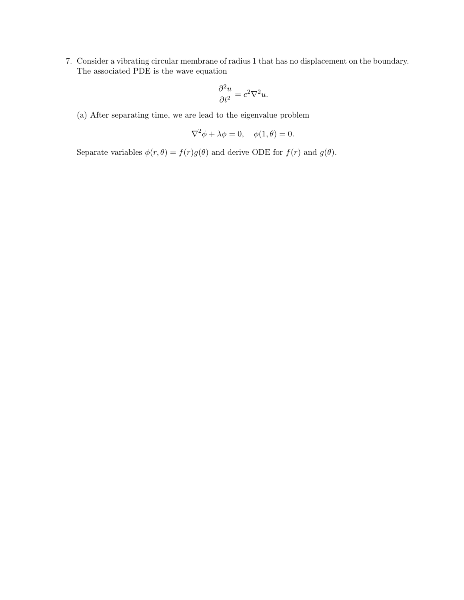7. Consider a vibrating circular membrane of radius 1 that has no displacement on the boundary. The associated PDE is the wave equation

$$
\frac{\partial^2 u}{\partial t^2} = c^2 \nabla^2 u.
$$

(a) After separating time, we are lead to the eigenvalue problem

$$
\nabla^2 \phi + \lambda \phi = 0, \quad \phi(1, \theta) = 0.
$$

Separate variables  $\phi(r, \theta) = f(r)g(\theta)$  and derive ODE for  $f(r)$  and  $g(\theta)$ .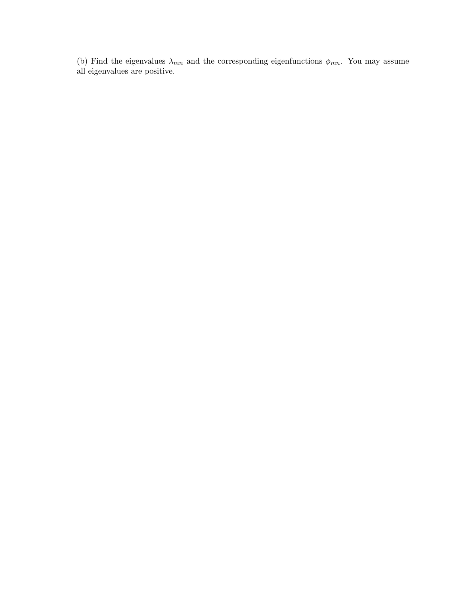(b) Find the eigenvalues  $\lambda_{mn}$  and the corresponding eigenfunctions  $\phi_{mn}$ . You may assume all eigenvalues are positive.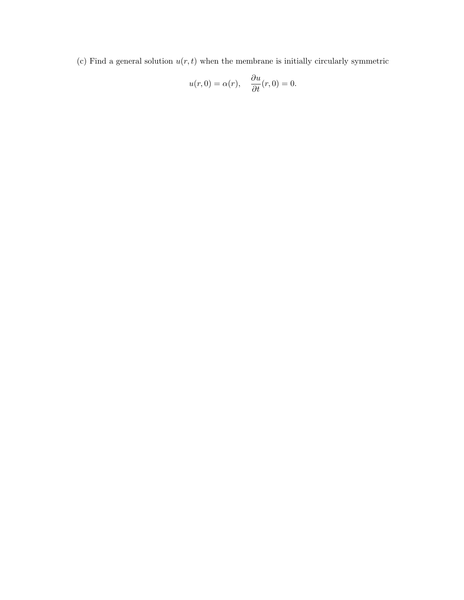(c) Find a general solution  $u(r, t)$  when the membrane is initially circularly symmetric

$$
u(r,0) = \alpha(r), \quad \frac{\partial u}{\partial t}(r,0) = 0.
$$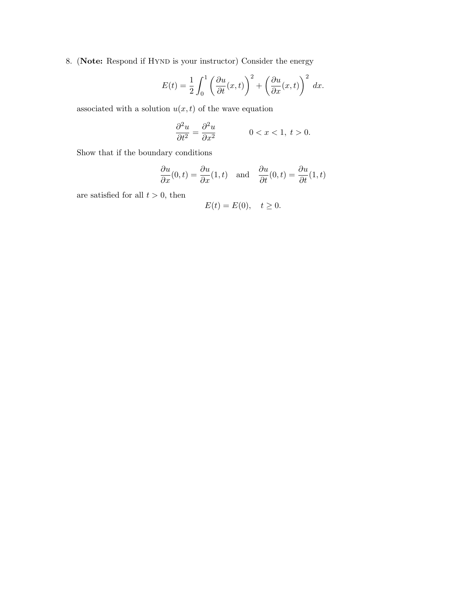8. (Note: Respond if HYND is your instructor) Consider the energy

$$
E(t) = \frac{1}{2} \int_0^1 \left( \frac{\partial u}{\partial t}(x, t) \right)^2 + \left( \frac{\partial u}{\partial x}(x, t) \right)^2 dx.
$$

associated with a solution  $u(x, t)$  of the wave equation

$$
\frac{\partial^2 u}{\partial t^2} = \frac{\partial^2 u}{\partial x^2} \qquad \qquad 0 < x < 1, \ t > 0.
$$

Show that if the boundary conditions

$$
\frac{\partial u}{\partial x}(0,t) = \frac{\partial u}{\partial x}(1,t)
$$
 and  $\frac{\partial u}{\partial t}(0,t) = \frac{\partial u}{\partial t}(1,t)$ 

are satisfied for all  $t > 0$ , then

$$
E(t) = E(0), \quad t \ge 0.
$$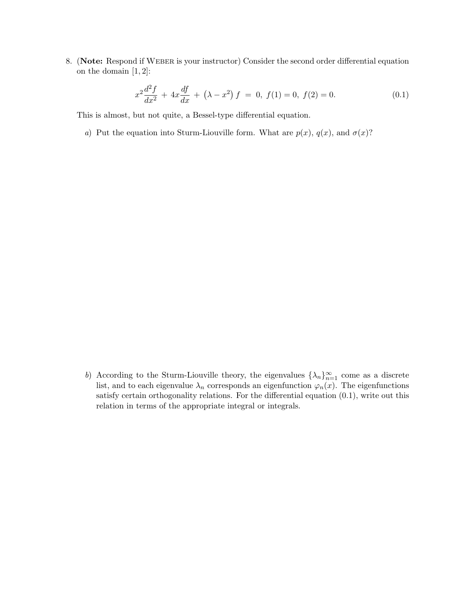8. (Note: Respond if WEBER is your instructor) Consider the second order differential equation on the domain  $\left[1,2\right]$ :

$$
x^{2}\frac{d^{2}f}{dx^{2}} + 4x\frac{df}{dx} + (\lambda - x^{2}) f = 0, f(1) = 0, f(2) = 0.
$$
 (0.1)

This is almost, but not quite, a Bessel-type differential equation.

a) Put the equation into Sturm-Liouville form. What are  $p(x)$ ,  $q(x)$ , and  $\sigma(x)$ ?

b) According to the Sturm-Liouville theory, the eigenvalues  $\{\lambda_n\}_{n=1}^{\infty}$  come as a discrete list, and to each eigenvalue  $\lambda_n$  corresponds an eigenfunction  $\varphi_n(x)$ . The eigenfunctions satisfy certain orthogonality relations. For the differential equation (0.1), write out this relation in terms of the appropriate integral or integrals.